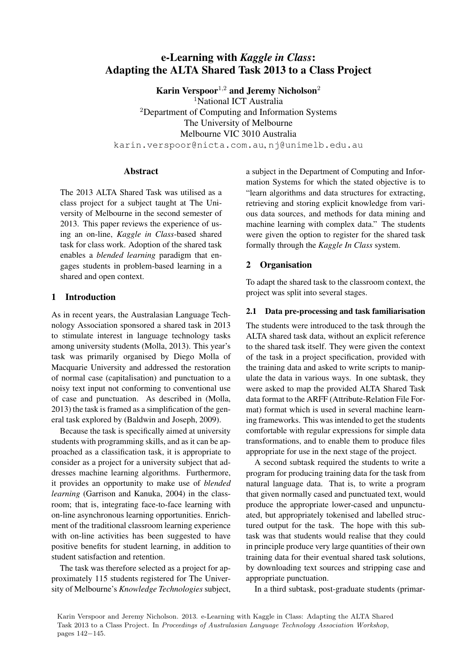# e-Learning with *Kaggle in Class*: Adapting the ALTA Shared Task 2013 to a Class Project

Karin Verspoor<sup>1,2</sup> and Jeremy Nicholson<sup>2</sup> <sup>1</sup>National ICT Australia <sup>2</sup>Department of Computing and Information Systems The University of Melbourne Melbourne VIC 3010 Australia karin.verspoor@nicta.com.au, nj@unimelb.edu.au

#### Abstract

The 2013 ALTA Shared Task was utilised as a class project for a subject taught at The University of Melbourne in the second semester of 2013. This paper reviews the experience of using an on-line, *Kaggle in Class*-based shared task for class work. Adoption of the shared task enables a *blended learning* paradigm that engages students in problem-based learning in a shared and open context.

## 1 Introduction

As in recent years, the Australasian Language Technology Association sponsored a shared task in 2013 to stimulate interest in language technology tasks among university students (Molla, 2013). This year's task was primarily organised by Diego Molla of Macquarie University and addressed the restoration of normal case (capitalisation) and punctuation to a noisy text input not conforming to conventional use of case and punctuation. As described in (Molla, 2013) the task is framed as a simplification of the general task explored by (Baldwin and Joseph, 2009).

Because the task is specifically aimed at university students with programming skills, and as it can be approached as a classification task, it is appropriate to consider as a project for a university subject that addresses machine learning algorithms. Furthermore, it provides an opportunity to make use of *blended learning* (Garrison and Kanuka, 2004) in the classroom; that is, integrating face-to-face learning with on-line asynchronous learning opportunities. Enrichment of the traditional classroom learning experience with on-line activities has been suggested to have positive benefits for student learning, in addition to student satisfaction and retention.

The task was therefore selected as a project for approximately 115 students registered for The University of Melbourne's *Knowledge Technologies* subject, a subject in the Department of Computing and Information Systems for which the stated objective is to "learn algorithms and data structures for extracting, retrieving and storing explicit knowledge from various data sources, and methods for data mining and machine learning with complex data." The students were given the option to register for the shared task formally through the *Kaggle In Class* system.

## 2 Organisation

To adapt the shared task to the classroom context, the project was split into several stages.

## 2.1 Data pre-processing and task familiarisation

The students were introduced to the task through the ALTA shared task data, without an explicit reference to the shared task itself. They were given the context of the task in a project specification, provided with the training data and asked to write scripts to manipulate the data in various ways. In one subtask, they were asked to map the provided ALTA Shared Task data format to the ARFF (Attribute-Relation File Format) format which is used in several machine learning frameworks. This was intended to get the students comfortable with regular expressions for simple data transformations, and to enable them to produce files appropriate for use in the next stage of the project.

A second subtask required the students to write a program for producing training data for the task from natural language data. That is, to write a program that given normally cased and punctuated text, would produce the appropriate lower-cased and unpunctuated, but appropriately tokenised and labelled structured output for the task. The hope with this subtask was that students would realise that they could in principle produce very large quantities of their own training data for their eventual shared task solutions, by downloading text sources and stripping case and appropriate punctuation.

In a third subtask, post-graduate students (primar-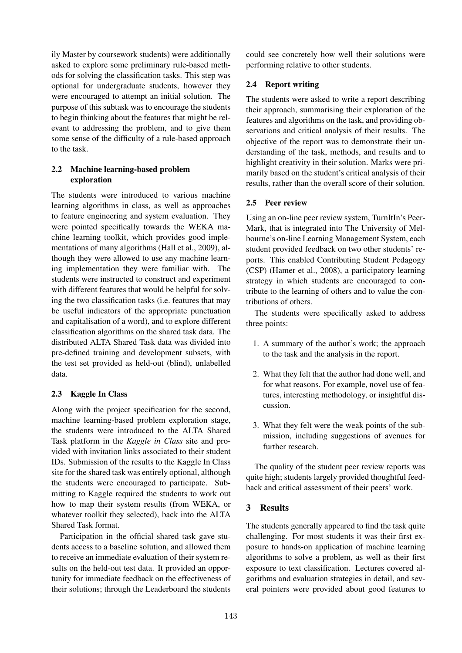ily Master by coursework students) were additionally asked to explore some preliminary rule-based methods for solving the classification tasks. This step was optional for undergraduate students, however they were encouraged to attempt an initial solution. The purpose of this subtask was to encourage the students to begin thinking about the features that might be relevant to addressing the problem, and to give them some sense of the difficulty of a rule-based approach to the task.

## 2.2 Machine learning-based problem exploration

The students were introduced to various machine learning algorithms in class, as well as approaches to feature engineering and system evaluation. They were pointed specifically towards the WEKA machine learning toolkit, which provides good implementations of many algorithms (Hall et al., 2009), although they were allowed to use any machine learning implementation they were familiar with. The students were instructed to construct and experiment with different features that would be helpful for solving the two classification tasks (i.e. features that may be useful indicators of the appropriate punctuation and capitalisation of a word), and to explore different classification algorithms on the shared task data. The distributed ALTA Shared Task data was divided into pre-defined training and development subsets, with the test set provided as held-out (blind), unlabelled data.

## 2.3 Kaggle In Class

Along with the project specification for the second, machine learning-based problem exploration stage, the students were introduced to the ALTA Shared Task platform in the *Kaggle in Class* site and provided with invitation links associated to their student IDs. Submission of the results to the Kaggle In Class site for the shared task was entirely optional, although the students were encouraged to participate. Submitting to Kaggle required the students to work out how to map their system results (from WEKA, or whatever toolkit they selected), back into the ALTA Shared Task format.

Participation in the official shared task gave students access to a baseline solution, and allowed them to receive an immediate evaluation of their system results on the held-out test data. It provided an opportunity for immediate feedback on the effectiveness of their solutions; through the Leaderboard the students

could see concretely how well their solutions were performing relative to other students.

## 2.4 Report writing

The students were asked to write a report describing their approach, summarising their exploration of the features and algorithms on the task, and providing observations and critical analysis of their results. The objective of the report was to demonstrate their understanding of the task, methods, and results and to highlight creativity in their solution. Marks were primarily based on the student's critical analysis of their results, rather than the overall score of their solution.

## 2.5 Peer review

Using an on-line peer review system, TurnItIn's Peer-Mark, that is integrated into The University of Melbourne's on-line Learning Management System, each student provided feedback on two other students' reports. This enabled Contributing Student Pedagogy (CSP) (Hamer et al., 2008), a participatory learning strategy in which students are encouraged to contribute to the learning of others and to value the contributions of others.

The students were specifically asked to address three points:

- 1. A summary of the author's work; the approach to the task and the analysis in the report.
- 2. What they felt that the author had done well, and for what reasons. For example, novel use of features, interesting methodology, or insightful discussion.
- 3. What they felt were the weak points of the submission, including suggestions of avenues for further research.

The quality of the student peer review reports was quite high; students largely provided thoughtful feedback and critical assessment of their peers' work.

## 3 Results

The students generally appeared to find the task quite challenging. For most students it was their first exposure to hands-on application of machine learning algorithms to solve a problem, as well as their first exposure to text classification. Lectures covered algorithms and evaluation strategies in detail, and several pointers were provided about good features to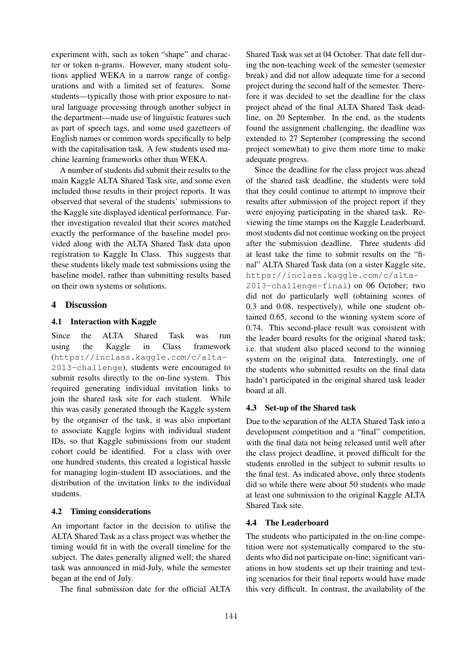experiment with, such as token "shape" and character or token n-grams. However, many student solutions applied WEKA in a narrow range of configurations and with a limited set of features. Some students—typically those with prior exposure to natural language processing through another subject in the department—made use of linguistic features such as part of speech tags, and some used gazetteers of English names or common words specifically to help with the capitalisation task. A few students used machine learning frameworks other than WEKA.

A number of students did submit their results to the main Kaggle ALTA Shared Task site, and some even included those results in their project reports. It was observed that several of the students' submissions to the Kaggle site displayed identical performance. Further investigation revealed that their scores matched exactly the performance of the baseline model provided along with the ALTA Shared Task data upon registration to Kaggle In Class. This suggests that these students likely made test submissions using the baseline model, rather than submitting results based on their own systems or solutions.

#### 4 Discussion

#### 4.1 Interaction with Kaggle

Since the ALTA Shared Task was run using the Kaggle in Class framework (https://inclass.kaggle.com/c/alta-2013-challenge), students were encouraged to submit results directly to the on-line system. This required generating individual invitation links to join the shared task site for each student. While this was easily generated through the Kaggle system by the organiser of the task, it was also important to associate Kaggle logins with individual student IDs, so that Kaggle submissions from our student cohort could be identified. For a class with over one hundred students, this created a logistical hassle for managing login-student ID associations, and the distribution of the invitation links to the individual students.

#### 4.2 Timing considerations

An important factor in the decision to utilise the ALTA Shared Task as a class project was whether the timing would fit in with the overall timeline for the subject. The dates generally aligned well; the shared task was announced in mid-July, while the semester began at the end of July.

The final submission date for the official ALTA

Shared Task was set at 04 October. That date fell during the non-teaching week of the semester (semester break) and did not allow adequate time for a second project during the second half of the semester. Therefore it was decided to set the deadline for the class project ahead of the final ALTA Shared Task deadline, on 20 September. In the end, as the students found the assignment challenging, the deadline was extended to 27 September (compressing the second project somewhat) to give them more time to make adequate progress.

Since the deadline for the class project was ahead of the shared task deadline, the students were told that they could continue to attempt to improve their results after submission of the project report if they were enjoying participating in the shared task. Reviewing the time stamps on the Kaggle Leaderboard, most students did not continue working on the project after the submission deadline. Three students did at least take the time to submit results on the "final" ALTA Shared Task data (on a sister Kaggle site, https://inclass.kaggle.com/c/alta-2013-challenge-final) on 06 October; two did not do particularly well (obtaining scores of 0.3 and 0.08, respectively), while one student obtained 0.65, second to the winning system score of 0.74. This second-place result was consistent with the leader board results for the original shared task; i.e. that student also placed second to the winning system on the original data. Interestingly, one of the students who submitted results on the final data hadn't participated in the original shared task leader board at all.

#### 4.3 Set-up of the Shared task

Due to the separation of the ALTA Shared Task into a development competition and a "final" competition, with the final data not being released until well after the class project deadline, it proved difficult for the students enrolled in the subject to submit results to the final test. As indicated above, only three students did so while there were about 50 students who made at least one submission to the original Kaggle ALTA Shared Task site.

#### 4.4 The Leaderboard

The students who participated in the on-line competition were not systematically compared to the students who did not participate on-line; significant variations in how students set up their training and testing scenarios for their final reports would have made this very difficult. In contrast, the availability of the